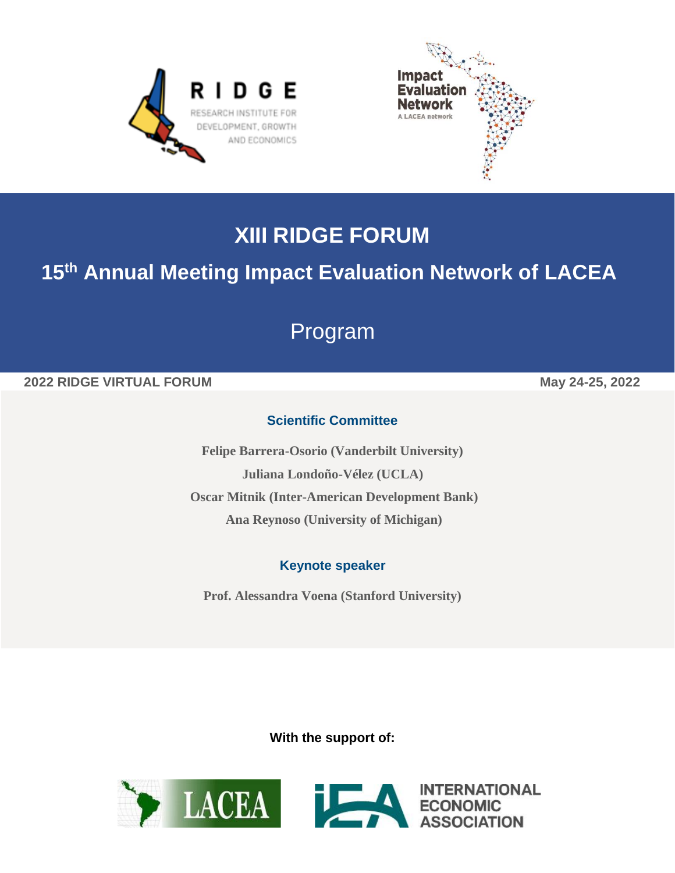



# **XIII RIDGE FORUM**

## **15 th Annual Meeting Impact Evaluation Network of LACEA**

# Program

### **2022 RIDGE VIRTUAL FORUM May 24-25, 2022**

## **Scientific Committee**

**Felipe Barrera-Osorio (Vanderbilt University) Juliana Londoño-Vélez (UCLA) Oscar Mitnik (Inter-American Development Bank) Ana Reynoso (University of Michigan)**

#### **Keynote speaker**

**Prof. Alessandra Voena (Stanford University)**

**With the support of:**

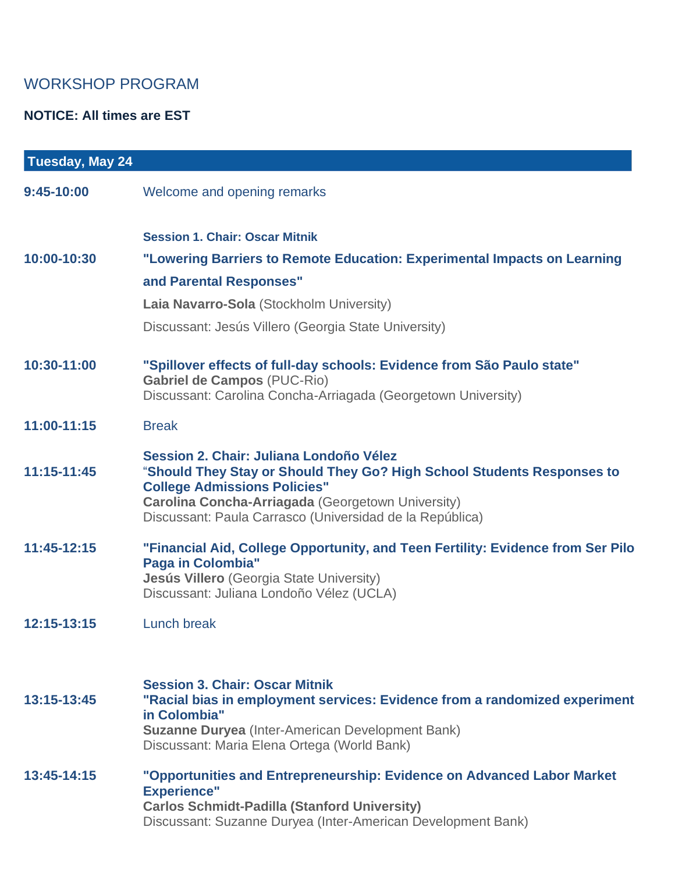## WORKSHOP PROGRAM

### **NOTICE: All times are EST**

| Tuesday, May 24 |                                                                                                                                                                                                                                                                           |
|-----------------|---------------------------------------------------------------------------------------------------------------------------------------------------------------------------------------------------------------------------------------------------------------------------|
| 9:45-10:00      | Welcome and opening remarks                                                                                                                                                                                                                                               |
|                 | <b>Session 1. Chair: Oscar Mitnik</b>                                                                                                                                                                                                                                     |
| 10:00-10:30     | "Lowering Barriers to Remote Education: Experimental Impacts on Learning                                                                                                                                                                                                  |
|                 | and Parental Responses"                                                                                                                                                                                                                                                   |
|                 | Laia Navarro-Sola (Stockholm University)                                                                                                                                                                                                                                  |
|                 | Discussant: Jesús Villero (Georgia State University)                                                                                                                                                                                                                      |
| 10:30-11:00     | "Spillover effects of full-day schools: Evidence from São Paulo state"<br><b>Gabriel de Campos (PUC-Rio)</b><br>Discussant: Carolina Concha-Arriagada (Georgetown University)                                                                                             |
| 11:00-11:15     | <b>Break</b>                                                                                                                                                                                                                                                              |
| 11:15-11:45     | Session 2. Chair: Juliana Londoño Vélez<br>"Should They Stay or Should They Go? High School Students Responses to<br><b>College Admissions Policies"</b><br>Carolina Concha-Arriagada (Georgetown University)<br>Discussant: Paula Carrasco (Universidad de la República) |
| $11:45-12:15$   | "Financial Aid, College Opportunity, and Teen Fertility: Evidence from Ser Pilo<br><b>Paga in Colombia"</b><br>Jesús Villero (Georgia State University)<br>Discussant: Juliana Londoño Vélez (UCLA)                                                                       |
| 12:15-13:15     | <b>Lunch break</b>                                                                                                                                                                                                                                                        |
| 13:15-13:45     | <b>Session 3. Chair: Oscar Mitnik</b><br>"Racial bias in employment services: Evidence from a randomized experiment<br>in Colombia"<br><b>Suzanne Duryea</b> (Inter-American Development Bank)<br>Discussant: Maria Elena Ortega (World Bank)                             |
| 13:45-14:15     | "Opportunities and Entrepreneurship: Evidence on Advanced Labor Market<br><b>Experience"</b><br><b>Carlos Schmidt-Padilla (Stanford University)</b><br>Discussant: Suzanne Duryea (Inter-American Development Bank)                                                       |